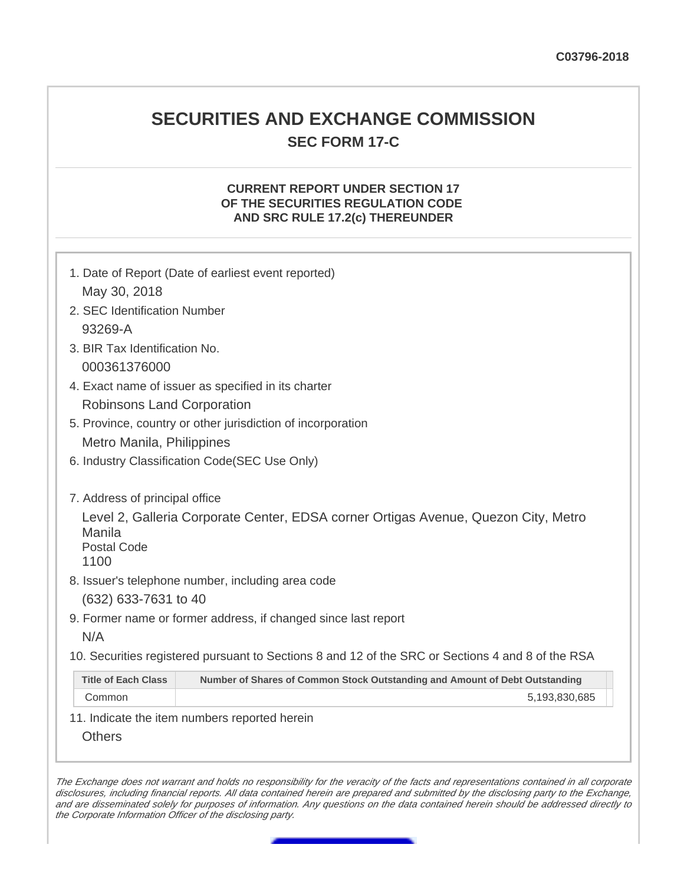## **SECURITIES AND EXCHANGE COMMISSION SEC FORM 17-C**

## **CURRENT REPORT UNDER SECTION 17 OF THE SECURITIES REGULATION CODE AND SRC RULE 17.2(c) THEREUNDER**

|                                                                        | 1. Date of Report (Date of earliest event reported)                                                                                     |  |  |  |
|------------------------------------------------------------------------|-----------------------------------------------------------------------------------------------------------------------------------------|--|--|--|
| May 30, 2018                                                           |                                                                                                                                         |  |  |  |
| 2. SEC Identification Number                                           |                                                                                                                                         |  |  |  |
| 93269-A                                                                |                                                                                                                                         |  |  |  |
| 3. BIR Tax Identification No.                                          |                                                                                                                                         |  |  |  |
| 000361376000                                                           |                                                                                                                                         |  |  |  |
|                                                                        | 4. Exact name of issuer as specified in its charter                                                                                     |  |  |  |
| <b>Robinsons Land Corporation</b>                                      |                                                                                                                                         |  |  |  |
|                                                                        | 5. Province, country or other jurisdiction of incorporation                                                                             |  |  |  |
| Metro Manila, Philippines                                              |                                                                                                                                         |  |  |  |
| 6. Industry Classification Code(SEC Use Only)                          |                                                                                                                                         |  |  |  |
| 7. Address of principal office<br>Manila<br><b>Postal Code</b><br>1100 | Level 2, Galleria Corporate Center, EDSA corner Ortigas Avenue, Quezon City, Metro<br>8. Issuer's telephone number, including area code |  |  |  |
|                                                                        |                                                                                                                                         |  |  |  |
| (632) 633-7631 to 40                                                   | 9. Former name or former address, if changed since last report                                                                          |  |  |  |
| N/A                                                                    |                                                                                                                                         |  |  |  |
|                                                                        | 10. Securities registered pursuant to Sections 8 and 12 of the SRC or Sections 4 and 8 of the RSA                                       |  |  |  |
| <b>Title of Each Class</b>                                             | Number of Shares of Common Stock Outstanding and Amount of Debt Outstanding                                                             |  |  |  |
| Common                                                                 | 5,193,830,685                                                                                                                           |  |  |  |
| <b>Others</b>                                                          | 11. Indicate the item numbers reported herein                                                                                           |  |  |  |

The Exchange does not warrant and holds no responsibility for the veracity of the facts and representations contained in all corporate disclosures, including financial reports. All data contained herein are prepared and submitted by the disclosing party to the Exchange, and are disseminated solely for purposes of information. Any questions on the data contained herein should be addressed directly to the Corporate Information Officer of the disclosing party.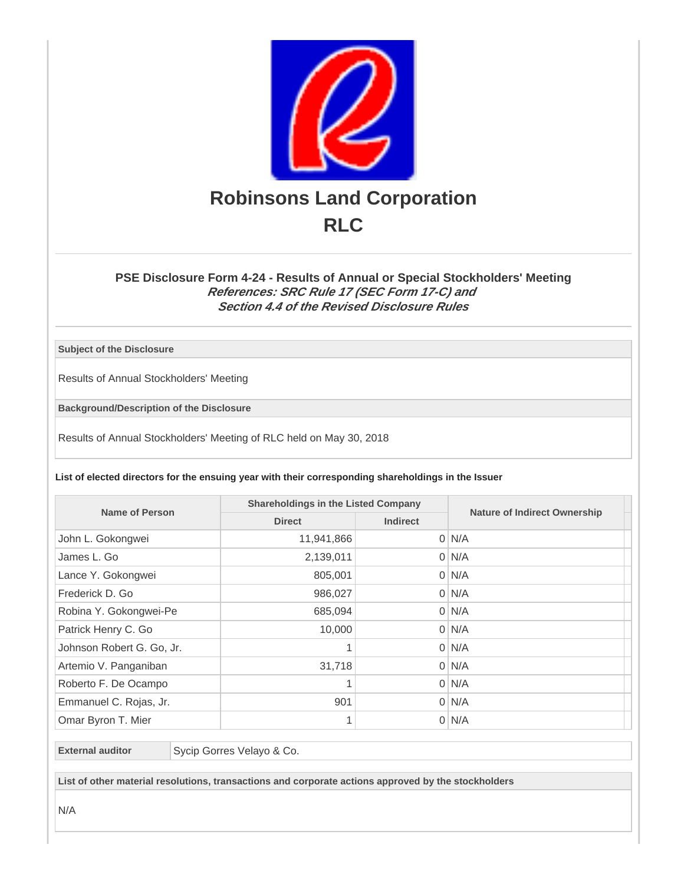

## **PSE Disclosure Form 4-24 - Results of Annual or Special Stockholders' Meeting References: SRC Rule 17 (SEC Form 17-C) and Section 4.4 of the Revised Disclosure Rules**

**Subject of the Disclosure**

Results of Annual Stockholders' Meeting

**Background/Description of the Disclosure**

Results of Annual Stockholders' Meeting of RLC held on May 30, 2018

**List of elected directors for the ensuing year with their corresponding shareholdings in the Issuer**

| Name of Person            | <b>Shareholdings in the Listed Company</b> |                 |                                     |
|---------------------------|--------------------------------------------|-----------------|-------------------------------------|
|                           | <b>Direct</b>                              | <b>Indirect</b> | <b>Nature of Indirect Ownership</b> |
| John L. Gokongwei         | 11,941,866                                 |                 | $0 \mid N/A$                        |
| James L. Go               | 2,139,011                                  |                 | $0$ N/A                             |
| Lance Y. Gokongwei        | 805,001                                    |                 | $0 \mid N/A$                        |
| Frederick D. Go           | 986,027                                    |                 | $0 \mid N/A$                        |
| Robina Y. Gokongwei-Pe    | 685,094                                    |                 | $0 \mid N/A$                        |
| Patrick Henry C. Go       | 10,000                                     |                 | $0 \mid N/A$                        |
| Johnson Robert G. Go, Jr. | 1                                          |                 | $0$ N/A                             |
| Artemio V. Panganiban     | 31,718                                     |                 | $0$ N/A                             |
| Roberto F. De Ocampo      |                                            |                 | $0 \mid N/A$                        |
| Emmanuel C. Rojas, Jr.    | 901                                        |                 | $0$ N/A                             |
| Omar Byron T. Mier        |                                            |                 | $0$ N/A                             |

**External auditor** Sycip Gorres Velayo & Co.

**List of other material resolutions, transactions and corporate actions approved by the stockholders**